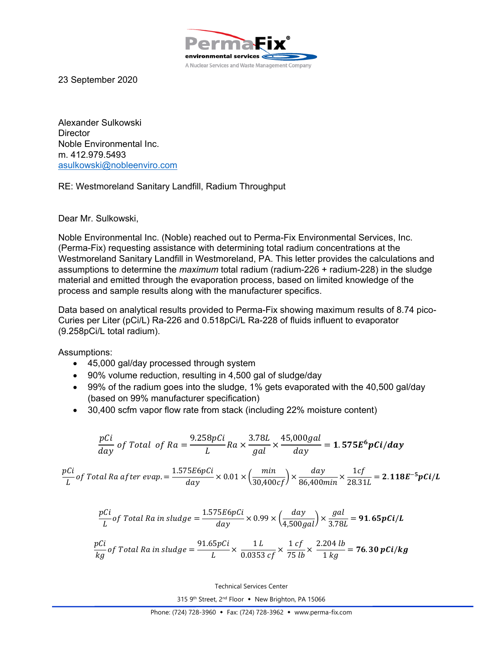

23 September 2020

Alexander Sulkowski **Director** Noble Environmental Inc. m. 412.979.5493 asulkowski@nobleenviro.com

## RE: Westmoreland Sanitary Landfill, Radium Throughput

Dear Mr. Sulkowski,

Noble Environmental Inc. (Noble) reached out to Perma-Fix Environmental Services, Inc. (Perma-Fix) requesting assistance with determining total radium concentrations at the Westmoreland Sanitary Landfill in Westmoreland, PA. This letter provides the calculations and assumptions to determine the *maximum* total radium (radium-226 + radium-228) in the sludge material and emitted through the evaporation process, based on limited knowledge of the process and sample results along with the manufacturer specifics.

Data based on analytical results provided to Perma-Fix showing maximum results of 8.74 pico-Curies per Liter (pCi/L) Ra-226 and 0.518pCi/L Ra-228 of fluids influent to evaporator (9.258pCi/L total radium).

Assumptions:

- 45,000 gal/day processed through system
- 90% volume reduction, resulting in 4,500 gal of sludge/day
- 99% of the radium goes into the sludge, 1% gets evaporated with the 40,500 gal/day (based on 99% manufacturer specification)
- 30,400 scfm vapor flow rate from stack (including 22% moisture content)

$$
\frac{pCi}{day} \text{ of Total of } Ra = \frac{9.258pCi}{L} Ra \times \frac{3.78L}{gal} \times \frac{45,000gal}{day} = 1.575E^{6} pCi/day
$$
\n
$$
1.575E6pCi \text{ and } \text{min} \text{ and } \text{day} \text{ and } \text{left} \text{ and } \text{right}
$$

$$
\frac{pCi}{L}of Total Ra after evap. = \frac{1.575E6pCi}{day} \times 0.01 \times \left(\frac{min}{30,400cf}\right) \times \frac{day}{86,400min} \times \frac{1cf}{28.31L} = 2.118E^{-5}pCi/L
$$

$$
\frac{pCi}{L}of Total Ra in sludge = \frac{1.575E6pCi}{day} \times 0.99 \times \left(\frac{day}{4,500gal}\right) \times \frac{gal}{3.78L} = 91.65pCi/L
$$

$$
\frac{pCi}{kg}
$$
 of Total Ra in sludge = 
$$
\frac{91.65pCi}{L} \times \frac{1 L}{0.0353 cf} \times \frac{1 cf}{75 lb} \times \frac{2.204 lb}{1 kg} = 76.30 pCi/kg
$$

Technical Services Center

315 9th Street, 2<sup>nd</sup> Floor • New Brighton, PA 15066